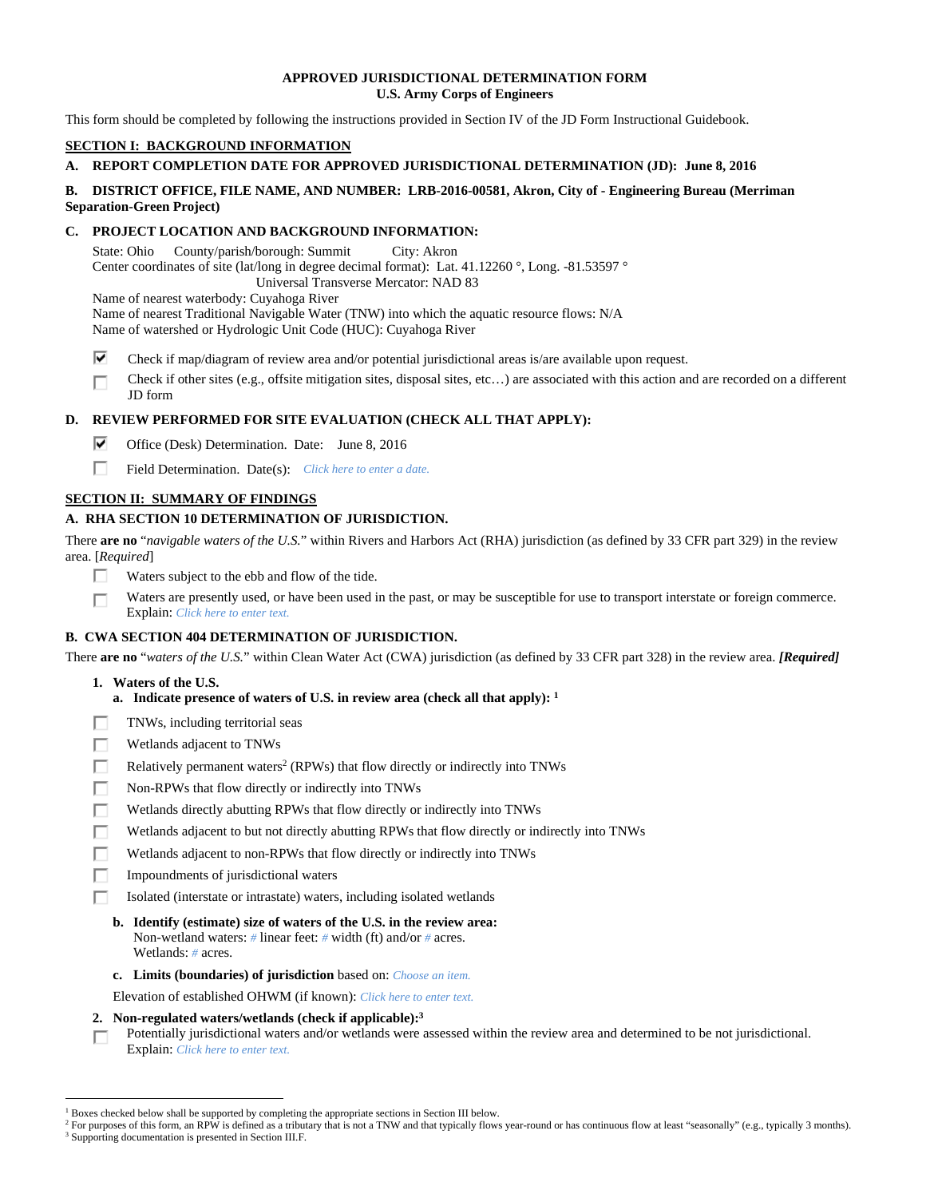### **APPROVED JURISDICTIONAL DETERMINATION FORM U.S. Army Corps of Engineers**

This form should be completed by following the instructions provided in Section IV of the JD Form Instructional Guidebook.

# **SECTION I: BACKGROUND INFORMATION**

# **A. REPORT COMPLETION DATE FOR APPROVED JURISDICTIONAL DETERMINATION (JD): June 8, 2016**

### **B. DISTRICT OFFICE, FILE NAME, AND NUMBER: LRB-2016-00581, Akron, City of - Engineering Bureau (Merriman Separation-Green Project)**

## **C. PROJECT LOCATION AND BACKGROUND INFORMATION:**

State: Ohio County/parish/borough: Summit City: Akron Center coordinates of site (lat/long in degree decimal format): Lat. 41.12260 °, Long. -81.53597 ° Universal Transverse Mercator: NAD 83

Name of nearest waterbody: Cuyahoga River

Name of nearest Traditional Navigable Water (TNW) into which the aquatic resource flows: N/A

Name of watershed or Hydrologic Unit Code (HUC): Cuyahoga River

- ⊽ Check if map/diagram of review area and/or potential jurisdictional areas is/are available upon request.
- Check if other sites (e.g., offsite mitigation sites, disposal sites, etc…) are associated with this action and are recorded on a different П JD form

## **D. REVIEW PERFORMED FOR SITE EVALUATION (CHECK ALL THAT APPLY):**

- ⊽ Office (Desk) Determination. Date: June 8, 2016
- П. Field Determination. Date(s): *Click here to enter a date.*

# **SECTION II: SUMMARY OF FINDINGS**

## **A. RHA SECTION 10 DETERMINATION OF JURISDICTION.**

There **are no** "*navigable waters of the U.S.*" within Rivers and Harbors Act (RHA) jurisdiction (as defined by 33 CFR part 329) in the review area. [*Required*]

- П. Waters subject to the ebb and flow of the tide.
- Waters are presently used, or have been used in the past, or may be susceptible for use to transport interstate or foreign commerce. п Explain: *Click here to enter text.*

# **B. CWA SECTION 404 DETERMINATION OF JURISDICTION.**

There **are no** "*waters of the U.S.*" within Clean Water Act (CWA) jurisdiction (as defined by 33 CFR part 328) in the review area. *[Required]*

### **1. Waters of the U.S.**

- **a. Indicate presence of waters of U.S. in review area (check all that apply): 1**
- TNWs, including territorial seas п
- п Wetlands adjacent to TNWs
- П Relatively permanent waters<sup>2</sup> (RPWs) that flow directly or indirectly into TNWs
- П Non-RPWs that flow directly or indirectly into TNWs
- п Wetlands directly abutting RPWs that flow directly or indirectly into TNWs
- г Wetlands adjacent to but not directly abutting RPWs that flow directly or indirectly into TNWs
- п Wetlands adjacent to non-RPWs that flow directly or indirectly into TNWs
- Impoundments of jurisdictional waters П.
- г Isolated (interstate or intrastate) waters, including isolated wetlands
	- **b. Identify (estimate) size of waters of the U.S. in the review area:**  Non-wetland waters: *#* linear feet: *#* width (ft) and/or *#* acres. Wetlands: *#* acres.
	- **c. Limits (boundaries) of jurisdiction** based on: *Choose an item.*
- Elevation of established OHWM (if known): *Click here to enter text.*
- **2. Non-regulated waters/wetlands (check if applicable):3**
- Potentially jurisdictional waters and/or wetlands were assessed within the review area and determined to be not jurisdictional. п Explain: *Click here to enter text.*

 $\overline{a}$ 

<sup>&</sup>lt;sup>1</sup> Boxes checked below shall be supported by completing the appropriate sections in Section III below.<br><sup>2</sup> For purposes of this form, an PPW is defined as a tributary that is not a TNW and that typically flows

<sup>&</sup>lt;sup>2</sup> For purposes of this form, an RPW is defined as a tributary that is not a TNW and that typically flows year-round or has continuous flow at least "seasonally" (e.g., typically 3 months).

<sup>&</sup>lt;sup>3</sup> Supporting documentation is presented in Section III.F.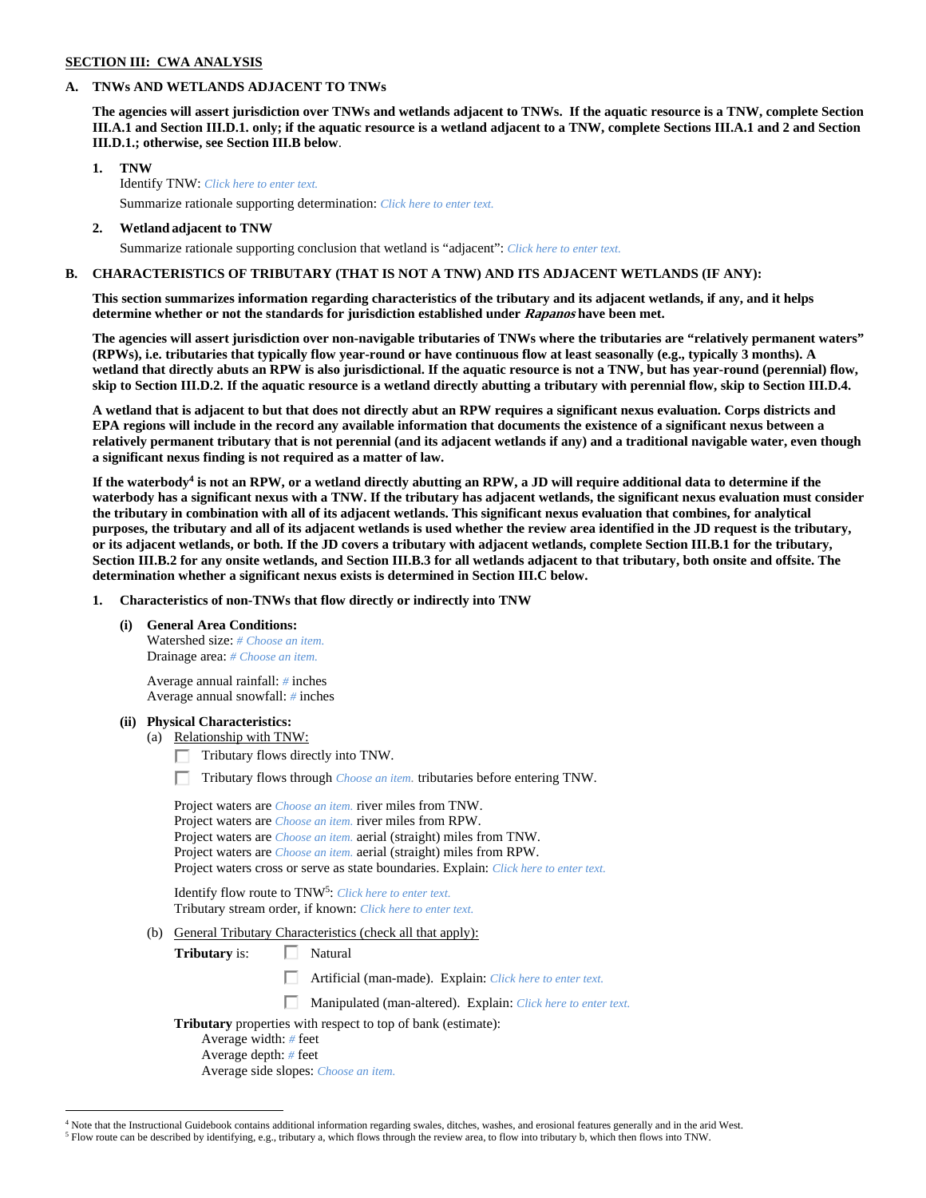#### **SECTION III: CWA ANALYSIS**

#### **A. TNWs AND WETLANDS ADJACENT TO TNWs**

**The agencies will assert jurisdiction over TNWs and wetlands adjacent to TNWs. If the aquatic resource is a TNW, complete Section III.A.1 and Section III.D.1. only; if the aquatic resource is a wetland adjacent to a TNW, complete Sections III.A.1 and 2 and Section III.D.1.; otherwise, see Section III.B below**.

 **1. TNW**  Identify TNW: *Click here to enter text.* Summarize rationale supporting determination: *Click here to enter text.*

### **2. Wetland adjacent to TNW**

Summarize rationale supporting conclusion that wetland is "adjacent": *Click here to enter text.*

## **B. CHARACTERISTICS OF TRIBUTARY (THAT IS NOT A TNW) AND ITS ADJACENT WETLANDS (IF ANY):**

**This section summarizes information regarding characteristics of the tributary and its adjacent wetlands, if any, and it helps determine whether or not the standards for jurisdiction established under Rapanos have been met.** 

**The agencies will assert jurisdiction over non-navigable tributaries of TNWs where the tributaries are "relatively permanent waters" (RPWs), i.e. tributaries that typically flow year-round or have continuous flow at least seasonally (e.g., typically 3 months). A wetland that directly abuts an RPW is also jurisdictional. If the aquatic resource is not a TNW, but has year-round (perennial) flow, skip to Section III.D.2. If the aquatic resource is a wetland directly abutting a tributary with perennial flow, skip to Section III.D.4.** 

**A wetland that is adjacent to but that does not directly abut an RPW requires a significant nexus evaluation. Corps districts and EPA regions will include in the record any available information that documents the existence of a significant nexus between a relatively permanent tributary that is not perennial (and its adjacent wetlands if any) and a traditional navigable water, even though a significant nexus finding is not required as a matter of law.** 

If the waterbody<sup>4</sup> is not an RPW, or a wetland directly abutting an RPW, a JD will require additional data to determine if the **waterbody has a significant nexus with a TNW. If the tributary has adjacent wetlands, the significant nexus evaluation must consider the tributary in combination with all of its adjacent wetlands. This significant nexus evaluation that combines, for analytical purposes, the tributary and all of its adjacent wetlands is used whether the review area identified in the JD request is the tributary, or its adjacent wetlands, or both. If the JD covers a tributary with adjacent wetlands, complete Section III.B.1 for the tributary, Section III.B.2 for any onsite wetlands, and Section III.B.3 for all wetlands adjacent to that tributary, both onsite and offsite. The determination whether a significant nexus exists is determined in Section III.C below.** 

### **1. Characteristics of non-TNWs that flow directly or indirectly into TNW**

 **(i) General Area Conditions:**  Watershed size: *# Choose an item.* Drainage area: *# Choose an item.*

> Average annual rainfall: *#* inches Average annual snowfall: *#* inches

### **(ii) Physical Characteristics:**

(a) Relationship with TNW:

- Tributary flows directly into TNW.
- Tributary flows through *Choose an item.* tributaries before entering TNW.

 Project waters are *Choose an item.* river miles from TNW. Project waters are *Choose an item.* river miles from RPW. Project waters are *Choose an item.* aerial (straight) miles from TNW. Project waters are *Choose an item.* aerial (straight) miles from RPW. Project waters cross or serve as state boundaries. Explain: *Click here to enter text.*

Identify flow route to TNW5: *Click here to enter text.* Tributary stream order, if known: *Click here to enter text.*

(b) General Tributary Characteristics (check all that apply):

**Tributary** is:  $\Box$  Natural

п Artificial (man-made). Explain: *Click here to enter text.*

Manipulated (man-altered). Explain: *Click here to enter text.*

**Tributary** properties with respect to top of bank (estimate):

Average width: *#* feet

 $\overline{a}$ 

Average depth: *#* feet

Average side slopes: *Choose an item.*

<sup>4</sup> Note that the Instructional Guidebook contains additional information regarding swales, ditches, washes, and erosional features generally and in the arid West.

 $^5$  Flow route can be described by identifying, e.g., tributary a, which flows through the review area, to flow into tributary b, which then flows into TNW.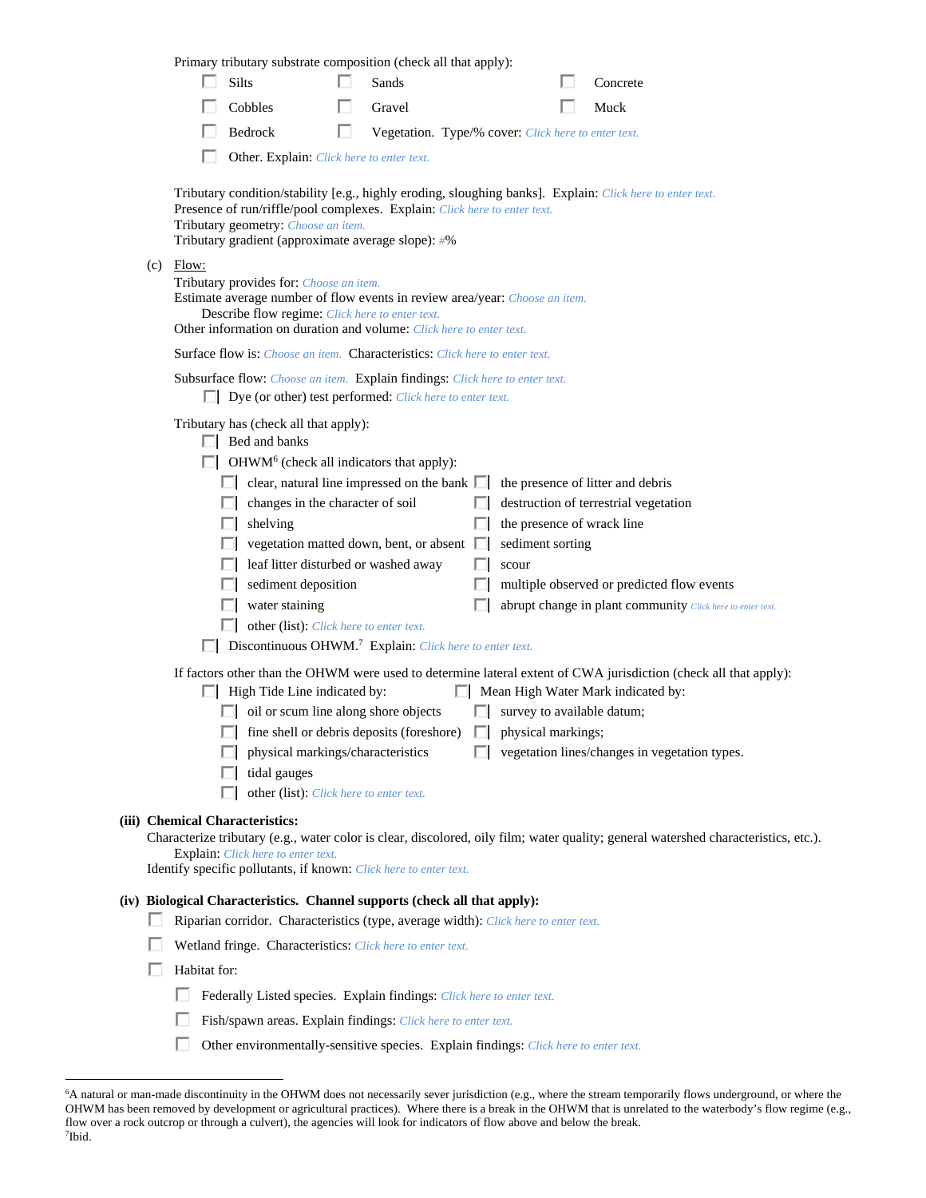| Primary tributary substrate composition (check all that apply):                                                                                                                                                                                                                                                                                                                                                                                                                                                                                                                                                                                                                                                                                       |                                                                                                                                                                                                                                                                                                                                                                                                                                                                                                                |
|-------------------------------------------------------------------------------------------------------------------------------------------------------------------------------------------------------------------------------------------------------------------------------------------------------------------------------------------------------------------------------------------------------------------------------------------------------------------------------------------------------------------------------------------------------------------------------------------------------------------------------------------------------------------------------------------------------------------------------------------------------|----------------------------------------------------------------------------------------------------------------------------------------------------------------------------------------------------------------------------------------------------------------------------------------------------------------------------------------------------------------------------------------------------------------------------------------------------------------------------------------------------------------|
| Silts<br>Sands                                                                                                                                                                                                                                                                                                                                                                                                                                                                                                                                                                                                                                                                                                                                        | Concrete                                                                                                                                                                                                                                                                                                                                                                                                                                                                                                       |
| Cobbles<br>Gravel                                                                                                                                                                                                                                                                                                                                                                                                                                                                                                                                                                                                                                                                                                                                     | Muck                                                                                                                                                                                                                                                                                                                                                                                                                                                                                                           |
| Bedrock<br>ш                                                                                                                                                                                                                                                                                                                                                                                                                                                                                                                                                                                                                                                                                                                                          | Vegetation. Type/% cover: Click here to enter text.                                                                                                                                                                                                                                                                                                                                                                                                                                                            |
| Other. Explain: Click here to enter text.                                                                                                                                                                                                                                                                                                                                                                                                                                                                                                                                                                                                                                                                                                             |                                                                                                                                                                                                                                                                                                                                                                                                                                                                                                                |
| Tributary condition/stability [e.g., highly eroding, sloughing banks]. Explain: Click here to enter text.<br>Presence of run/riffle/pool complexes. Explain: Click here to enter text.<br>Tributary geometry: Choose an item.<br>Tributary gradient (approximate average slope): #%                                                                                                                                                                                                                                                                                                                                                                                                                                                                   |                                                                                                                                                                                                                                                                                                                                                                                                                                                                                                                |
| Flow:<br>(c)<br>Tributary provides for: Choose an item.<br>Estimate average number of flow events in review area/year: Choose an item.<br>Describe flow regime: Click here to enter text.<br>Other information on duration and volume: Click here to enter text.                                                                                                                                                                                                                                                                                                                                                                                                                                                                                      |                                                                                                                                                                                                                                                                                                                                                                                                                                                                                                                |
| Surface flow is: Choose an item. Characteristics: Click here to enter text.                                                                                                                                                                                                                                                                                                                                                                                                                                                                                                                                                                                                                                                                           |                                                                                                                                                                                                                                                                                                                                                                                                                                                                                                                |
| Subsurface flow: Choose an item. Explain findings: Click here to enter text.<br>$\Box$ Dye (or other) test performed: <i>Click here to enter text.</i>                                                                                                                                                                                                                                                                                                                                                                                                                                                                                                                                                                                                |                                                                                                                                                                                                                                                                                                                                                                                                                                                                                                                |
| Tributary has (check all that apply):<br>$\Box$ Bed and banks<br>OHWM <sup>6</sup> (check all indicators that apply):<br>clear, natural line impressed on the bank $\Box$<br>changes in the character of soil<br>shelving<br>vegetation matted down, bent, or absent $\square$<br>leaf litter disturbed or washed away<br>sediment deposition<br>water staining<br>other (list): Click here to enter text.<br>Discontinuous OHWM. <sup>7</sup> Explain: Click here to enter text.<br>$\Box$ High Tide Line indicated by:<br>$\Box$ oil or scum line along shore objects<br>$\Box$ fine shell or debris deposits (foreshore) $\Box$ physical markings;<br>physical markings/characteristics<br>tidal gauges<br>other (list): Click here to enter text. | the presence of litter and debris<br>destruction of terrestrial vegetation<br>the presence of wrack line<br>sediment sorting<br>scour<br>multiple observed or predicted flow events<br>abrupt change in plant community Click here to enter text.<br>If factors other than the OHWM were used to determine lateral extent of CWA jurisdiction (check all that apply):<br>$\Box$ Mean High Water Mark indicated by:<br>$\Box$ survey to available datum;<br>П.<br>vegetation lines/changes in vegetation types. |
| (iii) Chemical Characteristics:<br>Explain: Click here to enter text.<br>Identify specific pollutants, if known: Click here to enter text.                                                                                                                                                                                                                                                                                                                                                                                                                                                                                                                                                                                                            | Characterize tributary (e.g., water color is clear, discolored, oily film; water quality; general watershed characteristics, etc.).                                                                                                                                                                                                                                                                                                                                                                            |
| (iv) Biological Characteristics. Channel supports (check all that apply):<br>Riparian corridor. Characteristics (type, average width): Click here to enter text.<br>ш<br>Wetland fringe. Characteristics: Click here to enter text.                                                                                                                                                                                                                                                                                                                                                                                                                                                                                                                   |                                                                                                                                                                                                                                                                                                                                                                                                                                                                                                                |
| Habitat for:<br>ш                                                                                                                                                                                                                                                                                                                                                                                                                                                                                                                                                                                                                                                                                                                                     |                                                                                                                                                                                                                                                                                                                                                                                                                                                                                                                |
| Federally Listed species. Explain findings: Click here to enter text.                                                                                                                                                                                                                                                                                                                                                                                                                                                                                                                                                                                                                                                                                 |                                                                                                                                                                                                                                                                                                                                                                                                                                                                                                                |
| Fish/spawn areas. Explain findings: Click here to enter text.                                                                                                                                                                                                                                                                                                                                                                                                                                                                                                                                                                                                                                                                                         |                                                                                                                                                                                                                                                                                                                                                                                                                                                                                                                |
| Other environmentally-sensitive species. Explain findings: Click here to enter text.                                                                                                                                                                                                                                                                                                                                                                                                                                                                                                                                                                                                                                                                  |                                                                                                                                                                                                                                                                                                                                                                                                                                                                                                                |
|                                                                                                                                                                                                                                                                                                                                                                                                                                                                                                                                                                                                                                                                                                                                                       |                                                                                                                                                                                                                                                                                                                                                                                                                                                                                                                |

<sup>&</sup>lt;sup>6</sup> A natural or man-made discontinuity in the OHWM does not necessarily sever jurisdiction (e.g., where the stream temporarily flows underground, or where the OHWM has been removed by development or agricultural practices). Where there is a break in the OHWM that is unrelated to the waterbody's flow regime (e.g., flow over a rock outcrop or through a culvert), the agencies will look for indicators of flow above and below the break. 7 Ibid.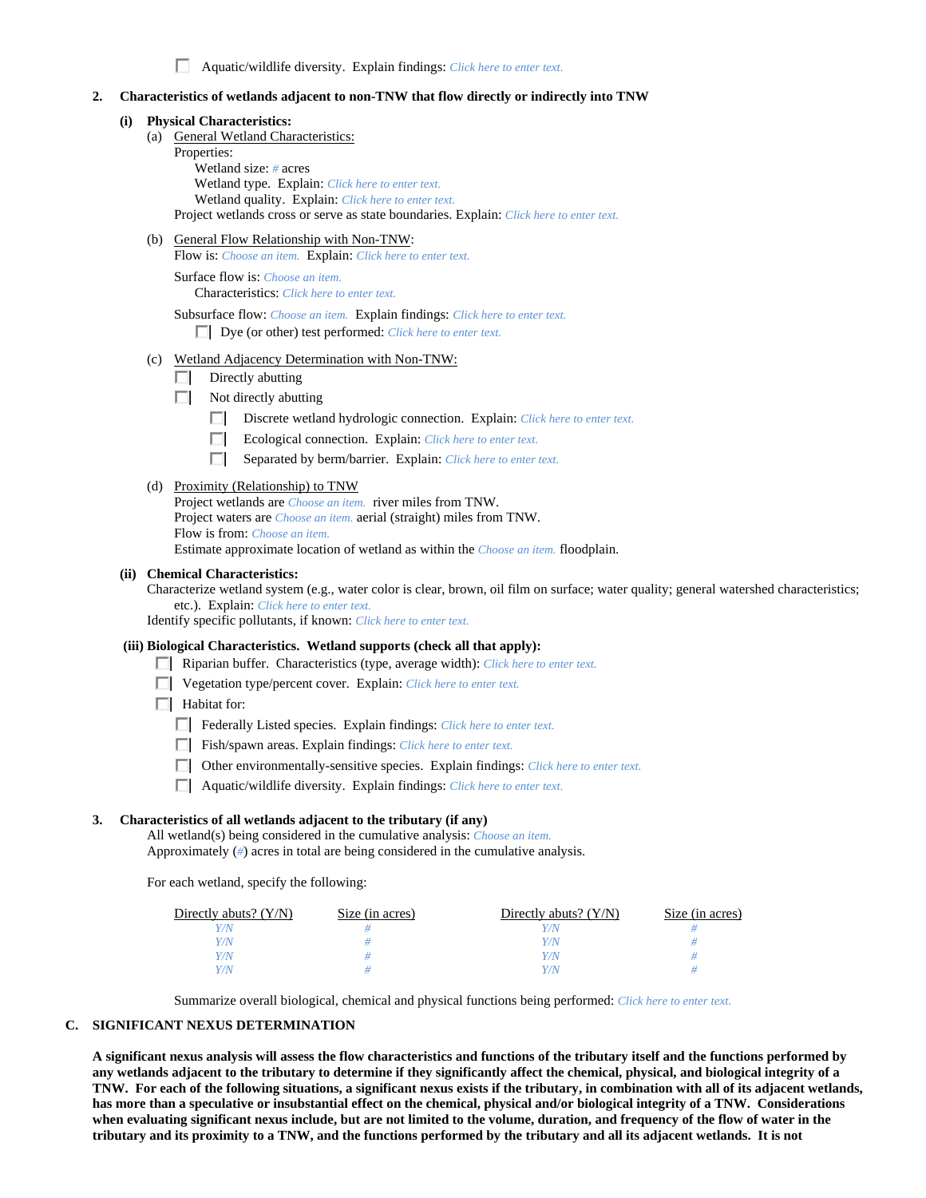Aquatic/wildlife diversity. Explain findings: *Click here to enter text.*

### **2. Characteristics of wetlands adjacent to non-TNW that flow directly or indirectly into TNW**

#### **(i) Physical Characteristics:**

- (a) General Wetland Characteristics: Properties: Wetland size: *#* acres Wetland type. Explain: *Click here to enter text.* Wetland quality. Explain: *Click here to enter text.* Project wetlands cross or serve as state boundaries. Explain: *Click here to enter text.*
- (b) General Flow Relationship with Non-TNW:

Flow is: *Choose an item.* Explain: *Click here to enter text.*

 Surface flow is: *Choose an item.* Characteristics: *Click here to enter text.*

Subsurface flow: *Choose an item.* Explain findings: *Click here to enter text.*

Dye (or other) test performed: *Click here to enter text.*

- (c) Wetland Adjacency Determination with Non-TNW:
	- $\Box$  Directly abutting
	- Not directly abutting
		- Discrete wetland hydrologic connection. Explain: *Click here to enter text.*
		- $\Box$ Ecological connection. Explain: *Click here to enter text.*
		- $\Box$ Separated by berm/barrier. Explain: *Click here to enter text.*

#### (d) Proximity (Relationship) to TNW

Project wetlands are *Choose an item.* river miles from TNW. Project waters are *Choose an item.* aerial (straight) miles from TNW. Flow is from: *Choose an item.* Estimate approximate location of wetland as within the *Choose an item.* floodplain.

#### **(ii) Chemical Characteristics:**

Characterize wetland system (e.g., water color is clear, brown, oil film on surface; water quality; general watershed characteristics; etc.). Explain: *Click here to enter text.*

Identify specific pollutants, if known: *Click here to enter text.*

#### **(iii) Biological Characteristics. Wetland supports (check all that apply):**

- Riparian buffer. Characteristics (type, average width): *Click here to enter text.*
- Vegetation type/percent cover. Explain: *Click here to enter text.*

 $\Box$  Habitat for:

- Federally Listed species. Explain findings: *Click here to enter text*.
- Fish/spawn areas. Explain findings: *Click here to enter text.*
- Other environmentally-sensitive species. Explain findings: *Click here to enter text.*
- Aquatic/wildlife diversity. Explain findings: *Click here to enter text.*

### **3. Characteristics of all wetlands adjacent to the tributary (if any)**

 All wetland(s) being considered in the cumulative analysis: *Choose an item.* Approximately (*#*) acres in total are being considered in the cumulative analysis.

For each wetland, specify the following:

| Directly abuts? $(Y/N)$ | Size (in acres) | Directly abuts? $(Y/N)$ | Size (in acres) |
|-------------------------|-----------------|-------------------------|-----------------|
| $^{\prime\prime}$ N     |                 |                         |                 |
| $^{\prime\prime}$ N     |                 | 77N                     |                 |
| Y/N                     |                 | 77N                     |                 |
| Y/N                     |                 | 77 N                    |                 |

Summarize overall biological, chemical and physical functions being performed: *Click here to enter text.*

#### **C. SIGNIFICANT NEXUS DETERMINATION**

**A significant nexus analysis will assess the flow characteristics and functions of the tributary itself and the functions performed by any wetlands adjacent to the tributary to determine if they significantly affect the chemical, physical, and biological integrity of a TNW. For each of the following situations, a significant nexus exists if the tributary, in combination with all of its adjacent wetlands, has more than a speculative or insubstantial effect on the chemical, physical and/or biological integrity of a TNW. Considerations when evaluating significant nexus include, but are not limited to the volume, duration, and frequency of the flow of water in the tributary and its proximity to a TNW, and the functions performed by the tributary and all its adjacent wetlands. It is not**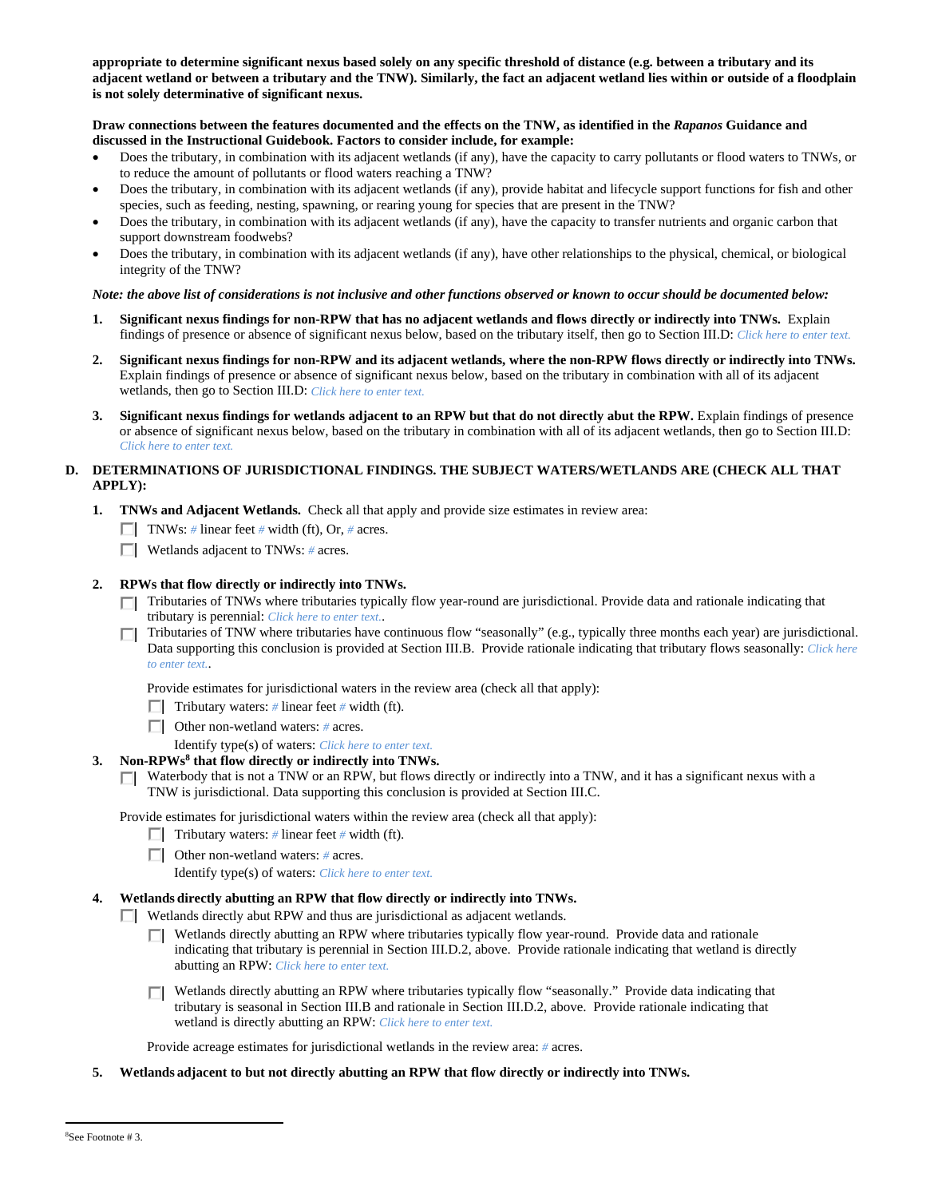**appropriate to determine significant nexus based solely on any specific threshold of distance (e.g. between a tributary and its adjacent wetland or between a tributary and the TNW). Similarly, the fact an adjacent wetland lies within or outside of a floodplain is not solely determinative of significant nexus.** 

### **Draw connections between the features documented and the effects on the TNW, as identified in the** *Rapanos* **Guidance and discussed in the Instructional Guidebook. Factors to consider include, for example:**

- Does the tributary, in combination with its adjacent wetlands (if any), have the capacity to carry pollutants or flood waters to TNWs, or to reduce the amount of pollutants or flood waters reaching a TNW?
- Does the tributary, in combination with its adjacent wetlands (if any), provide habitat and lifecycle support functions for fish and other species, such as feeding, nesting, spawning, or rearing young for species that are present in the TNW?
- Does the tributary, in combination with its adjacent wetlands (if any), have the capacity to transfer nutrients and organic carbon that support downstream foodwebs?
- Does the tributary, in combination with its adjacent wetlands (if any), have other relationships to the physical, chemical, or biological integrity of the TNW?

### *Note: the above list of considerations is not inclusive and other functions observed or known to occur should be documented below:*

- **1. Significant nexus findings for non-RPW that has no adjacent wetlands and flows directly or indirectly into TNWs.** Explain findings of presence or absence of significant nexus below, based on the tributary itself, then go to Section III.D: *Click here to enter text.*
- **2. Significant nexus findings for non-RPW and its adjacent wetlands, where the non-RPW flows directly or indirectly into TNWs.**  Explain findings of presence or absence of significant nexus below, based on the tributary in combination with all of its adjacent wetlands, then go to Section III.D: *Click here to enter text.*
- **3. Significant nexus findings for wetlands adjacent to an RPW but that do not directly abut the RPW.** Explain findings of presence or absence of significant nexus below, based on the tributary in combination with all of its adjacent wetlands, then go to Section III.D: *Click here to enter text.*

## **D. DETERMINATIONS OF JURISDICTIONAL FINDINGS. THE SUBJECT WATERS/WETLANDS ARE (CHECK ALL THAT APPLY):**

- **1. TNWs and Adjacent Wetlands.** Check all that apply and provide size estimates in review area:
	- TNWs: *#* linear feet *#* width (ft), Or, *#* acres.
	- Wetlands adjacent to TNWs: *#* acres.

### **2. RPWs that flow directly or indirectly into TNWs.**

- Tributaries of TNWs where tributaries typically flow year-round are jurisdictional. Provide data and rationale indicating that tributary is perennial: *Click here to enter text.*.
- Tributaries of TNW where tributaries have continuous flow "seasonally" (e.g., typically three months each year) are jurisdictional. П Data supporting this conclusion is provided at Section III.B. Provide rationale indicating that tributary flows seasonally: *Click here to enter text.*.

Provide estimates for jurisdictional waters in the review area (check all that apply):

- **Tributary waters:** # linear feet # width (ft).
- Other non-wetland waters: *#* acres.
	- Identify type(s) of waters: *Click here to enter text.*

### **3. Non-RPWs8 that flow directly or indirectly into TNWs.**

 $\Box$  Waterbody that is not a TNW or an RPW, but flows directly or indirectly into a TNW, and it has a significant nexus with a TNW is jurisdictional. Data supporting this conclusion is provided at Section III.C.

Provide estimates for jurisdictional waters within the review area (check all that apply):

- Tributary waters:  $\#$  linear feet  $\#$  width (ft).
- Other non-wetland waters: *#* acres.

Identify type(s) of waters: *Click here to enter text.*

### **4. Wetlands directly abutting an RPW that flow directly or indirectly into TNWs.**

Wetlands directly abut RPW and thus are jurisdictional as adjacent wetlands.

- Wetlands directly abutting an RPW where tributaries typically flow year-round. Provide data and rationale П. indicating that tributary is perennial in Section III.D.2, above. Provide rationale indicating that wetland is directly abutting an RPW: *Click here to enter text.*
- Wetlands directly abutting an RPW where tributaries typically flow "seasonally." Provide data indicating that tributary is seasonal in Section III.B and rationale in Section III.D.2, above. Provide rationale indicating that wetland is directly abutting an RPW: *Click here to enter text.*

Provide acreage estimates for jurisdictional wetlands in the review area: *#* acres.

**5. Wetlands adjacent to but not directly abutting an RPW that flow directly or indirectly into TNWs.** 

 $\overline{a}$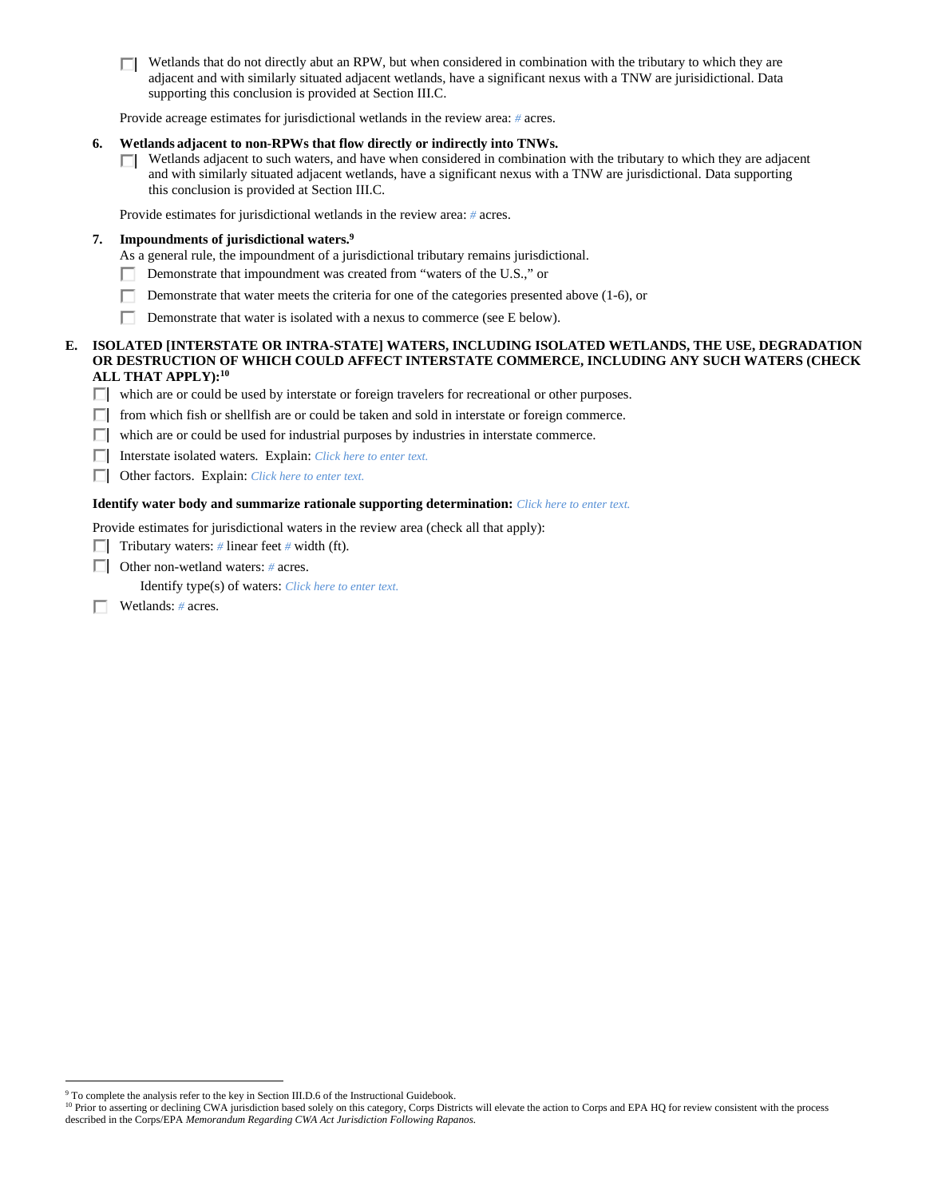Wetlands that do not directly abut an RPW, but when considered in combination with the tributary to which they are п adjacent and with similarly situated adjacent wetlands, have a significant nexus with a TNW are jurisidictional. Data supporting this conclusion is provided at Section III.C.

Provide acreage estimates for jurisdictional wetlands in the review area: *#* acres.

#### **6. Wetlands adjacent to non-RPWs that flow directly or indirectly into TNWs.**

 $\Box$  Wetlands adjacent to such waters, and have when considered in combination with the tributary to which they are adjacent and with similarly situated adjacent wetlands, have a significant nexus with a TNW are jurisdictional. Data supporting this conclusion is provided at Section III.C.

Provide estimates for jurisdictional wetlands in the review area: *#* acres.

### **7. Impoundments of jurisdictional waters.9**

As a general rule, the impoundment of a jurisdictional tributary remains jurisdictional.

- Demonstrate that impoundment was created from "waters of the U.S.," or п
- п Demonstrate that water meets the criteria for one of the categories presented above (1-6), or
- п Demonstrate that water is isolated with a nexus to commerce (see E below).

### **E. ISOLATED [INTERSTATE OR INTRA-STATE] WATERS, INCLUDING ISOLATED WETLANDS, THE USE, DEGRADATION OR DESTRUCTION OF WHICH COULD AFFECT INTERSTATE COMMERCE, INCLUDING ANY SUCH WATERS (CHECK ALL THAT APPLY):10**

which are or could be used by interstate or foreign travelers for recreational or other purposes.

- $\Box$  from which fish or shellfish are or could be taken and sold in interstate or foreign commerce.
- $\Box$  which are or could be used for industrial purposes by industries in interstate commerce.

Interstate isolated waters.Explain: *Click here to enter text.*

Other factors.Explain: *Click here to enter text.*

## **Identify water body and summarize rationale supporting determination:** *Click here to enter text.*

Provide estimates for jurisdictional waters in the review area (check all that apply):

- **Tributary waters:** # linear feet # width (ft).
- Other non-wetland waters: *#* acres.

Identify type(s) of waters: *Click here to enter text.*

Wetlands: *#* acres.

 $\overline{a}$ 

<sup>&</sup>lt;sup>9</sup> To complete the analysis refer to the key in Section III.D.6 of the Instructional Guidebook.

<sup>&</sup>lt;sup>10</sup> Prior to asserting or declining CWA jurisdiction based solely on this category, Corps Districts will elevate the action to Corps and EPA HQ for review consistent with the process described in the Corps/EPA *Memorandum Regarding CWA Act Jurisdiction Following Rapanos.*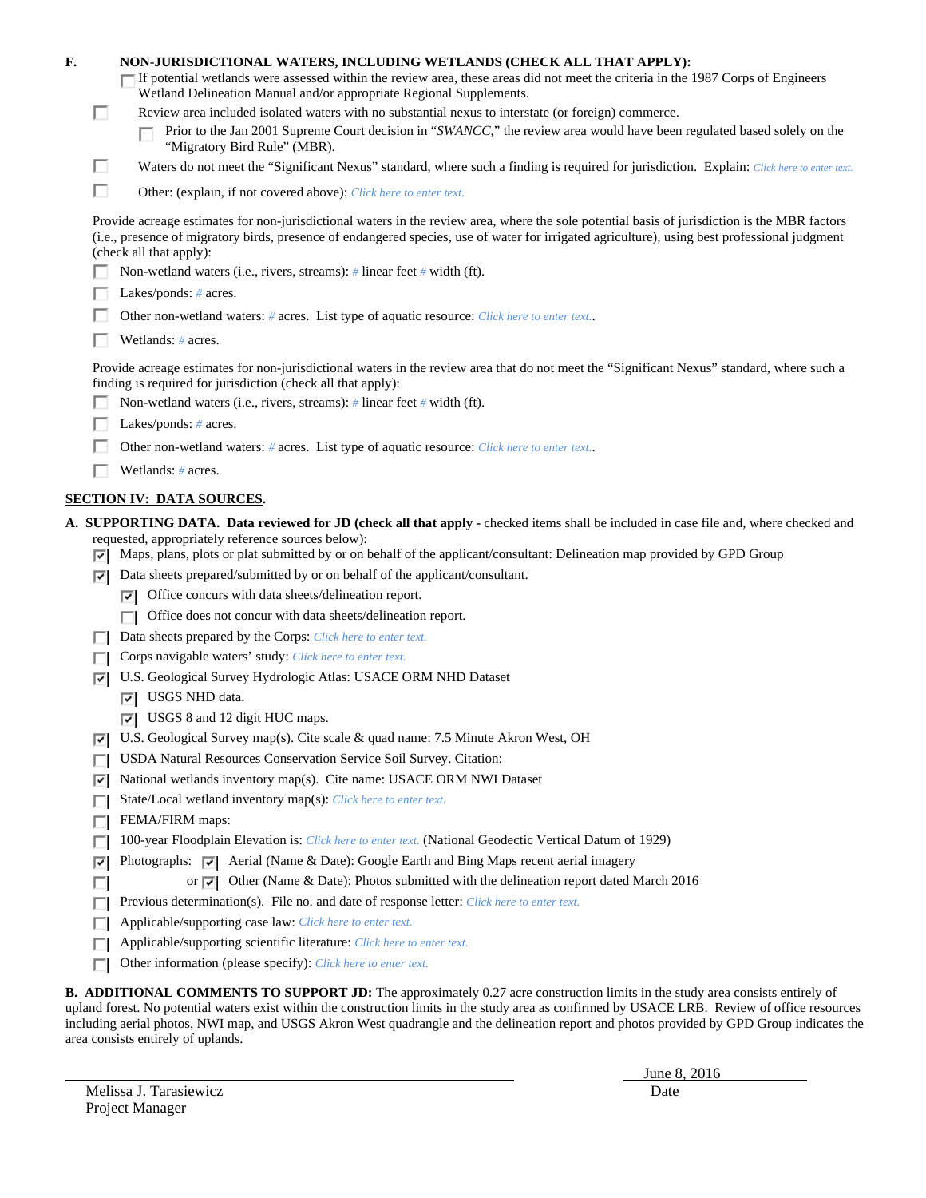| F.<br>□ | NON-JURISDICTIONAL WATERS, INCLUDING WETLANDS (CHECK ALL THAT APPLY):<br>If potential wetlands were assessed within the review area, these areas did not meet the criteria in the 1987 Corps of Engineers<br>Wetland Delineation Manual and/or appropriate Regional Supplements.<br>Review area included isolated waters with no substantial nexus to interstate (or foreign) commerce. |
|---------|-----------------------------------------------------------------------------------------------------------------------------------------------------------------------------------------------------------------------------------------------------------------------------------------------------------------------------------------------------------------------------------------|
|         | Prior to the Jan 2001 Supreme Court decision in "SWANCC," the review area would have been regulated based solely on the<br>"Migratory Bird Rule" (MBR).                                                                                                                                                                                                                                 |
| п       | Waters do not meet the "Significant Nexus" standard, where such a finding is required for jurisdiction. Explain: Click here to enter text.                                                                                                                                                                                                                                              |
| П       | Other: (explain, if not covered above): Click here to enter text.                                                                                                                                                                                                                                                                                                                       |
|         | Provide acreage estimates for non-jurisdictional waters in the review area, where the sole potential basis of jurisdiction is the MBR factors<br>(i.e., presence of migratory birds, presence of endangered species, use of water for irrigated agriculture), using best professional judgment<br>(check all that apply):                                                               |
|         | Non-wetland waters (i.e., rivers, streams): $\#$ linear feet $\#$ width (ft).                                                                                                                                                                                                                                                                                                           |
|         | Lakes/ponds: $# \, \text{acres.}$                                                                                                                                                                                                                                                                                                                                                       |
|         | Other non-wetland waters: # acres. List type of aquatic resource: Click here to enter text                                                                                                                                                                                                                                                                                              |
|         | Wetlands: # acres.                                                                                                                                                                                                                                                                                                                                                                      |
|         | Provide acreage estimates for non-jurisdictional waters in the review area that do not meet the "Significant Nexus" standard, where such a<br>finding is required for jurisdiction (check all that apply):                                                                                                                                                                              |
|         | Non-wetland waters (i.e., rivers, streams): $\#$ linear feet $\#$ width (ft).                                                                                                                                                                                                                                                                                                           |
|         | Lakes/ponds: $# \, \text{acres.}$                                                                                                                                                                                                                                                                                                                                                       |
|         | Other non-wetland waters: # acres. List type of aquatic resource: Click here to enter text                                                                                                                                                                                                                                                                                              |
|         | Wetlands: # acres.                                                                                                                                                                                                                                                                                                                                                                      |
|         | <b>SECTION IV: DATA SOURCES.</b>                                                                                                                                                                                                                                                                                                                                                        |
|         | A. SUPPORTING DATA. Data reviewed for JD (check all that apply - checked items shall be included in case file and, where checked and                                                                                                                                                                                                                                                    |
| ⊡       | requested, appropriately reference sources below):<br>Maps, plans, plots or plat submitted by or on behalf of the applicant/consultant: Delineation map provided by GPD Group                                                                                                                                                                                                           |
| ⊡       | Data sheets prepared/submitted by or on behalf of the applicant/consultant.                                                                                                                                                                                                                                                                                                             |
|         | $\triangleright$ Office concurs with data sheets/delineation report.                                                                                                                                                                                                                                                                                                                    |
|         | Office does not concur with data sheets/delineation report.<br>п                                                                                                                                                                                                                                                                                                                        |
|         | Data sheets prepared by the Corps: Click here to enter text.                                                                                                                                                                                                                                                                                                                            |
|         | Corps navigable waters' study: Click here to enter text.                                                                                                                                                                                                                                                                                                                                |
| 罓       | U.S. Geological Survey Hydrologic Atlas: USACE ORM NHD Dataset                                                                                                                                                                                                                                                                                                                          |
|         | USGS NHD data.<br>⊡                                                                                                                                                                                                                                                                                                                                                                     |
|         | USGS 8 and 12 digit HUC maps.<br>⊡                                                                                                                                                                                                                                                                                                                                                      |
| ⊽       | U.S. Geological Survey map(s). Cite scale & quad name: 7.5 Minute Akron West, OH                                                                                                                                                                                                                                                                                                        |
|         | USDA Natural Resources Conservation Service Soil Survey. Citation:                                                                                                                                                                                                                                                                                                                      |
| ⊽       | National wetlands inventory map(s). Cite name: USACE ORM NWI Dataset                                                                                                                                                                                                                                                                                                                    |
| п       | State/Local wetland inventory map(s): Click here to enter text.                                                                                                                                                                                                                                                                                                                         |
| п       | FEMA/FIRM maps:                                                                                                                                                                                                                                                                                                                                                                         |
| г       | 100-year Floodplain Elevation is: Click here to enter text. (National Geodectic Vertical Datum of 1929)                                                                                                                                                                                                                                                                                 |
| ⊽       | Photographs: $\overline{\triangledown}$ Aerial (Name & Date): Google Earth and Bing Maps recent aerial imagery                                                                                                                                                                                                                                                                          |
| п       | or $\overline{ \mathbf{v} }$ Other (Name & Date): Photos submitted with the delineation report dated March 2016                                                                                                                                                                                                                                                                         |
|         | Previous determination(s). File no. and date of response letter: Click here to enter text.                                                                                                                                                                                                                                                                                              |
| п       | Applicable/supporting case law: Click here to enter text.<br>Applicable/supporting scientific literature: Click here to enter text.                                                                                                                                                                                                                                                     |
| п<br>п  | Other information (please specify): Click here to enter text.                                                                                                                                                                                                                                                                                                                           |
|         |                                                                                                                                                                                                                                                                                                                                                                                         |

**B. ADDITIONAL COMMENTS TO SUPPORT JD:** The approximately 0.27 acre construction limits in the study area consists entirely of upland forest. No potential waters exist within the construction limits in the study area as confirmed by USACE LRB. Review of office resources including aerial photos, NWI map, and USGS Akron West quadrangle and the delineation report and photos provided by GPD Group indicates the area consists entirely of uplands.

Melissa J. Tarasiewicz Date Project Manager

June 8, 2016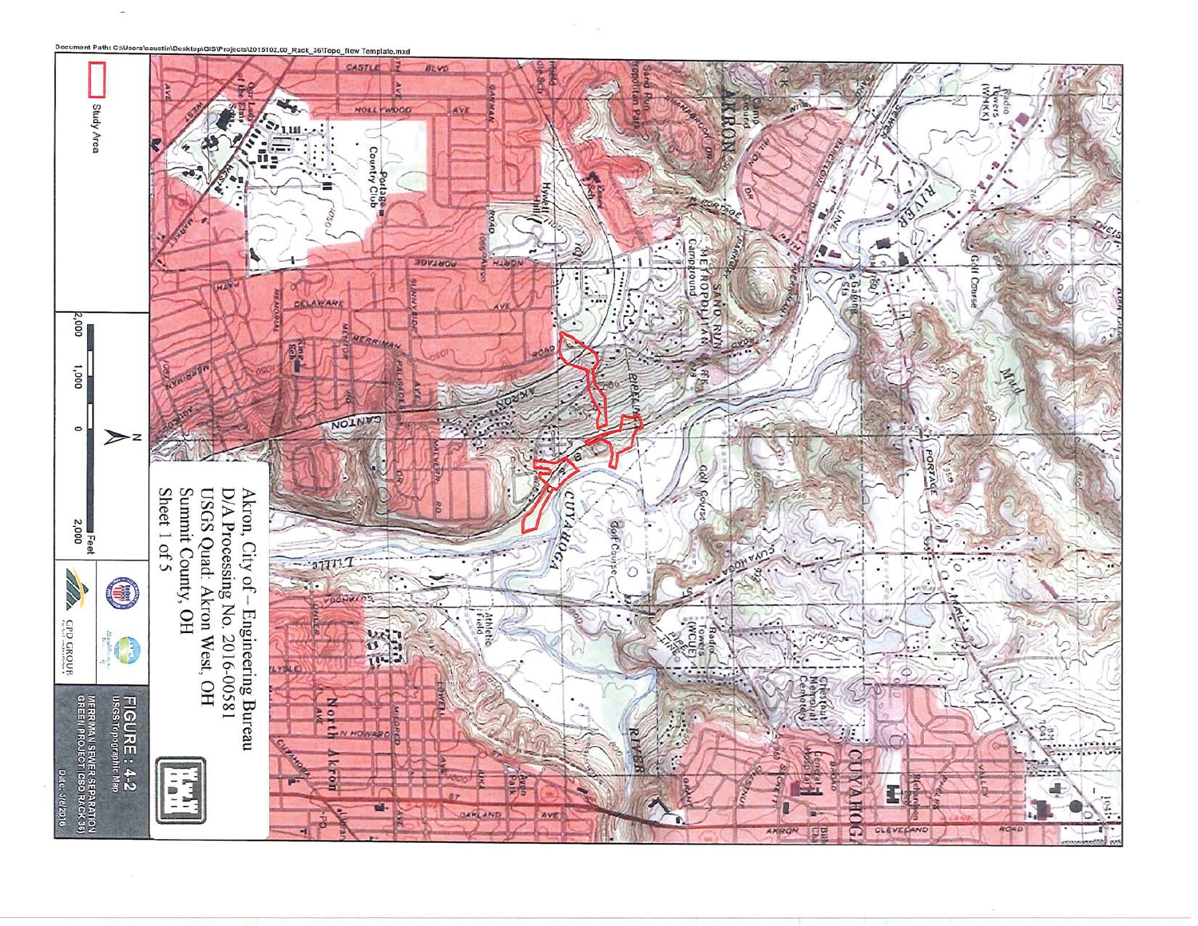

Document Path: C:\Users\caustin\Desktop\GIS\Projects\2015102.00\_Rack\_36\Topo\_New Template.mxd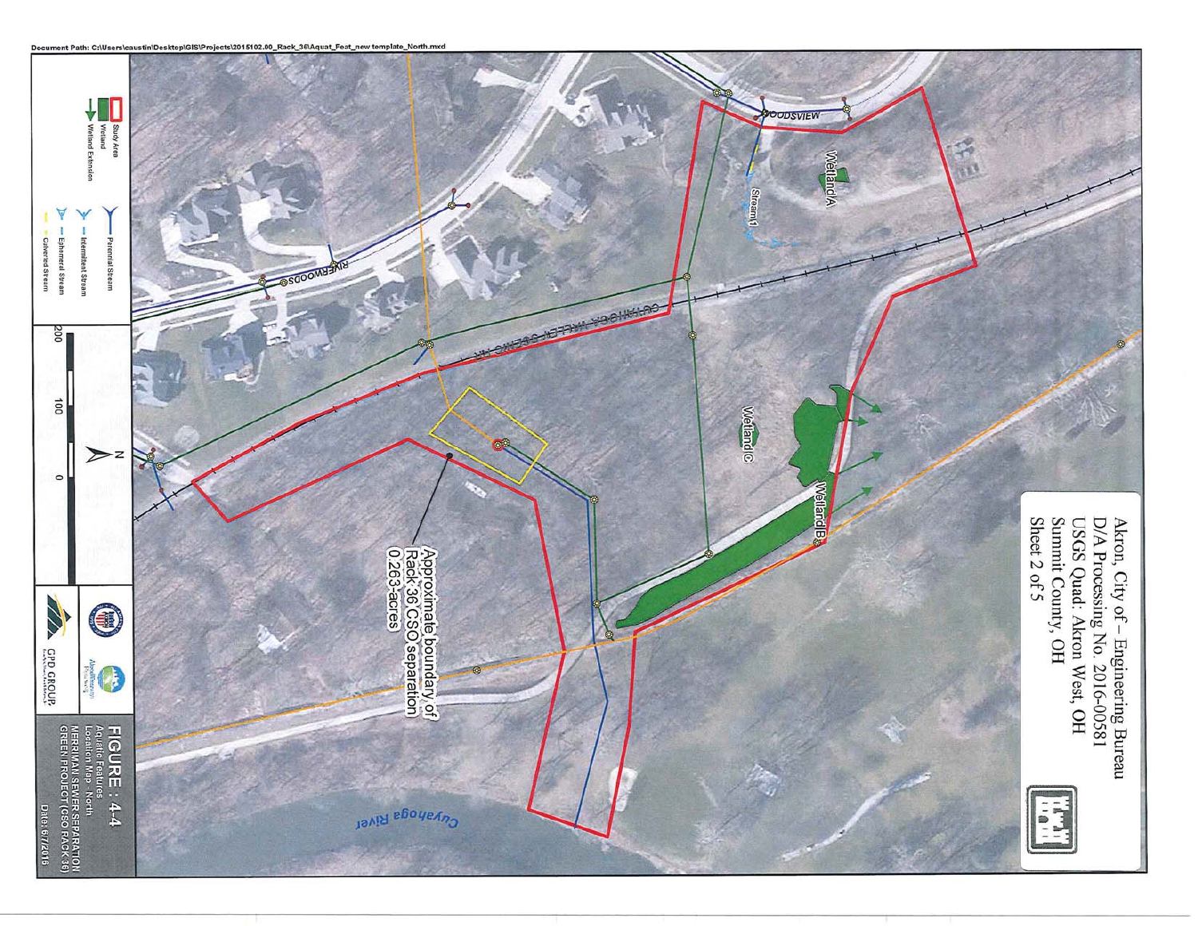